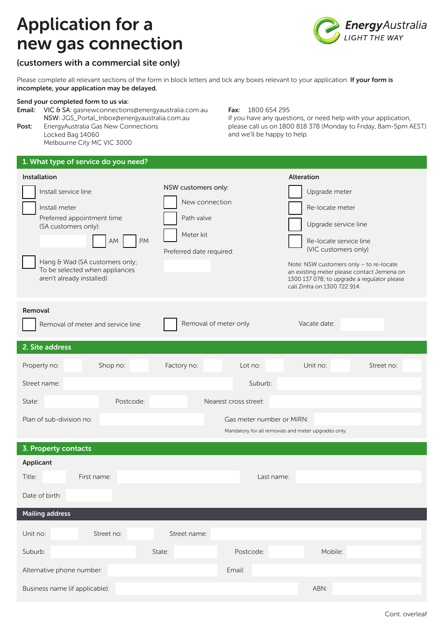# Application for a new gas connection



# (customers with a commercial site only)

Please complete all relevant sections of the form in block letters and tick any boxes relevant to your application. If your form is incomplete, your application may be delayed.

#### Send your completed form to us via:

- Email: VIC & SA: gasnewconnections@energyaustralia.com.au NSW: JGS\_Portal\_Inbox@energyaustralia.com.au
- Post: EnergyAustralia Gas New Connections Locked Bag 14060 Melbourne City MC VIC 3000

## Fax: 1800 654 295

If you have any questions, or need help with your application, please call us on 1800 818 378 (Monday to Friday, 8am-5pm AEST) and we'll be happy to help.

| 1. What type of service do you need?                                                                                                                                                                                     |                                                                                              |                                                                                                                                                                                                                                                                                                         |  |  |  |
|--------------------------------------------------------------------------------------------------------------------------------------------------------------------------------------------------------------------------|----------------------------------------------------------------------------------------------|---------------------------------------------------------------------------------------------------------------------------------------------------------------------------------------------------------------------------------------------------------------------------------------------------------|--|--|--|
| Installation<br>Install service line<br>Install meter<br>Preferred appointment time<br>(SA customers only):<br>AM<br>PM<br>Hang & Wad (SA customers only;<br>To be selected when appliances<br>aren't already installed) | NSW customers only:<br>New connection<br>Path valve<br>Meter kit<br>Preferred date required: | <b>Alteration</b><br>Upgrade meter<br>Re-locate meter<br>Upgrade service line<br>Re-locate service line<br>(VIC customers only)<br>Note: NSW customers only - to re-locate<br>an existing meter please contact Jemena on<br>1300 137 078; to upgrade a regulator please<br>call Zinfra on 1300 722 914. |  |  |  |
| Removal<br>Removal of meter and service line                                                                                                                                                                             | Removal of meter only                                                                        | Vacate date:                                                                                                                                                                                                                                                                                            |  |  |  |
| 2. Site address                                                                                                                                                                                                          |                                                                                              |                                                                                                                                                                                                                                                                                                         |  |  |  |
| Property no:<br>Shop no:                                                                                                                                                                                                 | Factory no:<br>Lot no:                                                                       | Unit no:<br>Street no:                                                                                                                                                                                                                                                                                  |  |  |  |
| Street name:                                                                                                                                                                                                             | Suburb:                                                                                      |                                                                                                                                                                                                                                                                                                         |  |  |  |
| Postcode:<br>State:                                                                                                                                                                                                      | Nearest cross street:                                                                        |                                                                                                                                                                                                                                                                                                         |  |  |  |
| Plan of sub-division no:                                                                                                                                                                                                 | Gas meter number or MIRN:<br>Mandatory for all removals and meter upgrades only.             |                                                                                                                                                                                                                                                                                                         |  |  |  |
| 3. Property contacts                                                                                                                                                                                                     |                                                                                              |                                                                                                                                                                                                                                                                                                         |  |  |  |
| Applicant<br>Title:<br>First name:<br>Date of birth:                                                                                                                                                                     | Last name:                                                                                   |                                                                                                                                                                                                                                                                                                         |  |  |  |
| <b>Mailing address</b>                                                                                                                                                                                                   |                                                                                              |                                                                                                                                                                                                                                                                                                         |  |  |  |
| Unit no:<br>Street no:<br>Suburb:<br>State:<br>Alternative phone number:<br>Business name (if applicable):                                                                                                               | Street name:<br>Postcode:<br>Email:                                                          | Mobile:<br>ABN:                                                                                                                                                                                                                                                                                         |  |  |  |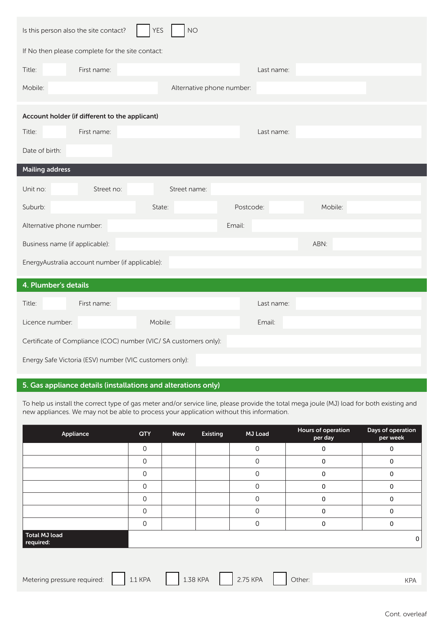| <b>YES</b><br><b>NO</b><br>Is this person also the site contact? |             |                           |            |         |  |  |  |  |
|------------------------------------------------------------------|-------------|---------------------------|------------|---------|--|--|--|--|
| If No then please complete for the site contact:                 |             |                           |            |         |  |  |  |  |
| Title:                                                           | First name: |                           | Last name: |         |  |  |  |  |
| Mobile:                                                          |             | Alternative phone number: |            |         |  |  |  |  |
| Account holder (if different to the applicant)                   |             |                           |            |         |  |  |  |  |
| Title:                                                           | First name: |                           | Last name: |         |  |  |  |  |
| Date of birth:                                                   |             |                           |            |         |  |  |  |  |
| <b>Mailing address</b>                                           |             |                           |            |         |  |  |  |  |
| Unit no:                                                         | Street no:  | Street name:              |            |         |  |  |  |  |
| Suburb:                                                          |             | State:                    | Postcode:  | Mobile: |  |  |  |  |
| Alternative phone number:                                        |             |                           | Email:     |         |  |  |  |  |
| Business name (if applicable):                                   |             |                           |            | ABN:    |  |  |  |  |
| EnergyAustralia account number (if applicable):                  |             |                           |            |         |  |  |  |  |
| 4. Plumber's details                                             |             |                           |            |         |  |  |  |  |
| Title:                                                           | First name: |                           | Last name: |         |  |  |  |  |
| Licence number:                                                  |             | Mobile:                   | Email:     |         |  |  |  |  |
| Certificate of Compliance (COC) number (VIC/ SA customers only): |             |                           |            |         |  |  |  |  |

Energy Safe Victoria (ESV) number (VIC customers only):

## 5. Gas appliance details (installations and alterations only)

To help us install the correct type of gas meter and/or service line, please provide the total mega joule (MJ) load for both existing and new appliances. We may not be able to process your application without this information.

| Appliance                         | <b>QTY</b>     | <b>New</b> | <b>Existing</b> | MJ Load     | Hours of operation<br>per day | Days of operation<br>per week |
|-----------------------------------|----------------|------------|-----------------|-------------|-------------------------------|-------------------------------|
|                                   | $\mathbf 0$    |            |                 | $\mathbf 0$ | 0                             | 0                             |
|                                   | $\mathbf 0$    |            |                 | 0           | $\mathbf 0$                   | 0                             |
|                                   | $\overline{0}$ |            |                 | $\Omega$    | $\mathbf 0$                   | 0                             |
|                                   | $\overline{0}$ |            |                 | $\Omega$    | $\mathbf 0$                   | $\Omega$                      |
|                                   | $\overline{0}$ |            |                 | 0           | $\mathbf 0$                   | $\Omega$                      |
|                                   | $\overline{0}$ |            |                 | $\Omega$    | $\mathbf 0$                   | 0                             |
|                                   | $\overline{0}$ |            |                 | $\Omega$    | $\mathbf 0$                   | 0                             |
| <b>Total MJ load</b><br>required: |                |            |                 |             |                               | 0                             |
|                                   |                |            |                 |             |                               |                               |
| Metering pressure required:       | <b>1.1 KPA</b> | 1.38 KPA   |                 | 2.75 KPA    | Other:                        | <b>KPA</b>                    |
|                                   |                |            |                 |             |                               |                               |